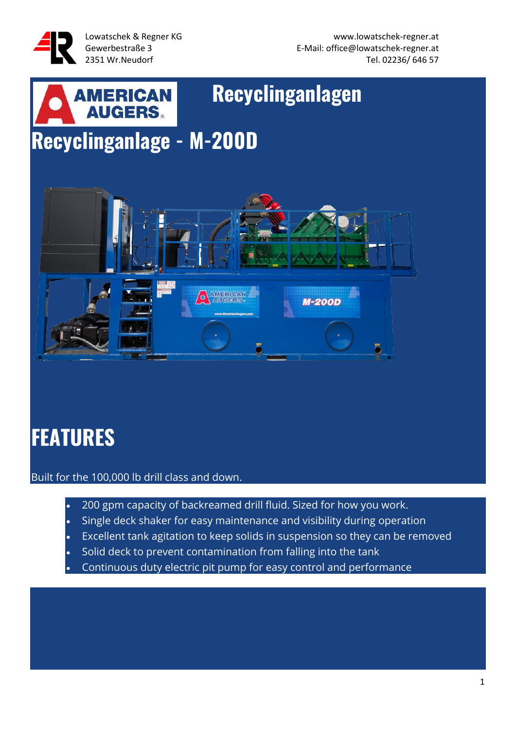

# **AMERICAN Recyclinganlagen Recyclinganlage - M-200D**



# **FEATURES**

Built for the 100,000 lb drill class and down.

- 200 gpm capacity of backreamed drill fluid. Sized for how you work.
- Single deck shaker for easy maintenance and visibility during operation
- Excellent tank agitation to keep solids in suspension so they can be removed
- Solid deck to prevent contamination from falling into the tank
- Continuous duty electric pit pump for easy control and performance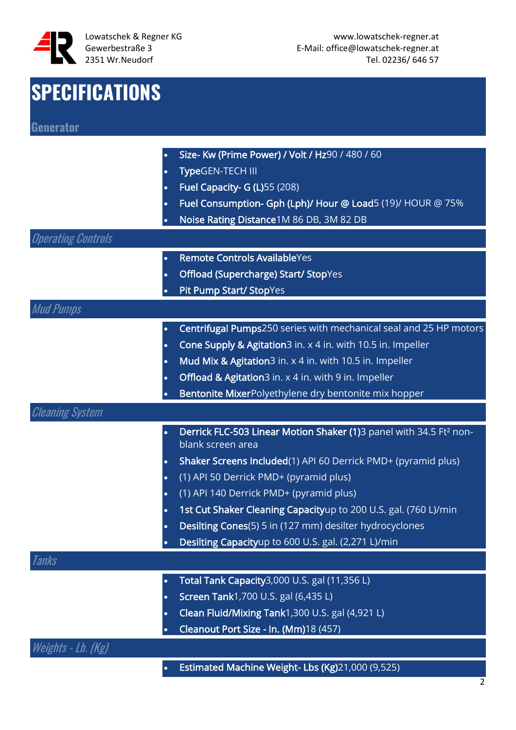

## **SPECIFICATIONS**

| <b>Generator</b>          |           |                                                                                |
|---------------------------|-----------|--------------------------------------------------------------------------------|
|                           |           |                                                                                |
|                           | $\bullet$ | Size- Kw (Prime Power) / Volt / Hz90 / 480 / 60                                |
|                           | $\bullet$ | TypeGEN-TECH III                                                               |
|                           |           | Fuel Capacity- G (L)55 (208)                                                   |
|                           | $\bullet$ | Fuel Consumption- Gph (Lph)/ Hour @ Load5 (19)/ HOUR @ 75%                     |
|                           |           | Noise Rating Distance 1M 86 DB, 3M 82 DB                                       |
| <b>Operating Controls</b> |           |                                                                                |
|                           | $\bullet$ | <b>Remote Controls AvailableYes</b>                                            |
|                           | $\bullet$ | <b>Offload (Supercharge) Start/ StopYes</b>                                    |
|                           |           | Pit Pump Start/ StopYes                                                        |
| <b>Mud Pumps</b>          |           |                                                                                |
|                           | $\bullet$ | Centrifugal Pumps250 series with mechanical seal and 25 HP motors              |
|                           | $\bullet$ | Cone Supply & Agitation3 in. x 4 in. with 10.5 in. Impeller                    |
|                           | $\bullet$ | Mud Mix & Agitation3 in. x 4 in. with 10.5 in. Impeller                        |
|                           | $\bullet$ | Offload & Agitation3 in. x 4 in. with 9 in. Impeller                           |
|                           |           | Bentonite MixerPolyethylene dry bentonite mix hopper                           |
| <b>Cleaning System</b>    |           |                                                                                |
|                           |           | Derrick FLC-503 Linear Motion Shaker (1)3 panel with 34.5 Ft <sup>2</sup> non- |
|                           |           | blank screen area                                                              |
|                           | $\bullet$ | Shaker Screens Included(1) API 60 Derrick PMD+ (pyramid plus)                  |
|                           | $\bullet$ | (1) API 50 Derrick PMD+ (pyramid plus)                                         |
|                           |           | (1) API 140 Derrick PMD+ (pyramid plus)                                        |
|                           |           | 1st Cut Shaker Cleaning Capacityup to 200 U.S. gal. (760 L)/min                |
|                           | $\bullet$ | Desilting Cones(5) 5 in (127 mm) desilter hydrocyclones                        |
|                           |           | Desilting Capacityup to 600 U.S. gal. (2,271 L)/min                            |
| Tanks                     |           |                                                                                |
|                           | $\bullet$ | Total Tank Capacity3,000 U.S. gal (11,356 L)                                   |
|                           | $\bullet$ | Screen Tank1,700 U.S. gal (6,435 L)                                            |
|                           | $\bullet$ | Clean Fluid/Mixing Tank1,300 U.S. gal (4,921 L)                                |
|                           |           | Cleanout Port Size - In. (Mm)18 (457)                                          |
| Weights - Lb. (Kg)        |           |                                                                                |

• Estimated Machine Weight- Lbs (Kg)21,000 (9,525)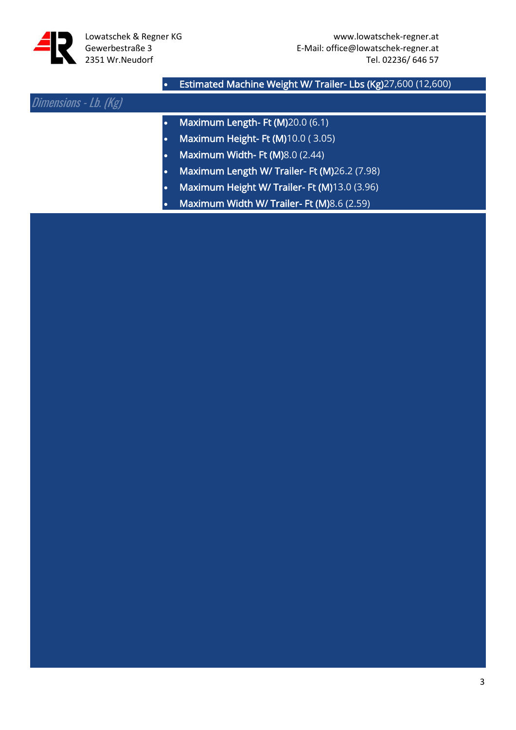

#### • Estimated Machine Weight W/ Trailer- Lbs (Kg)27,600 (12,600)

#### Dimensions - Lb. (Kg)

- Maximum Length- Ft (M)20.0 (6.1)
- Maximum Height- Ft (M)10.0 ( 3.05)
- Maximum Width- Ft (M)8.0 (2.44)
- Maximum Length W/ Trailer- Ft (M)26.2 (7.98)
- Maximum Height W/ Trailer- Ft (M)13.0 (3.96)
- Maximum Width W/ Trailer- Ft (M)8.6 (2.59)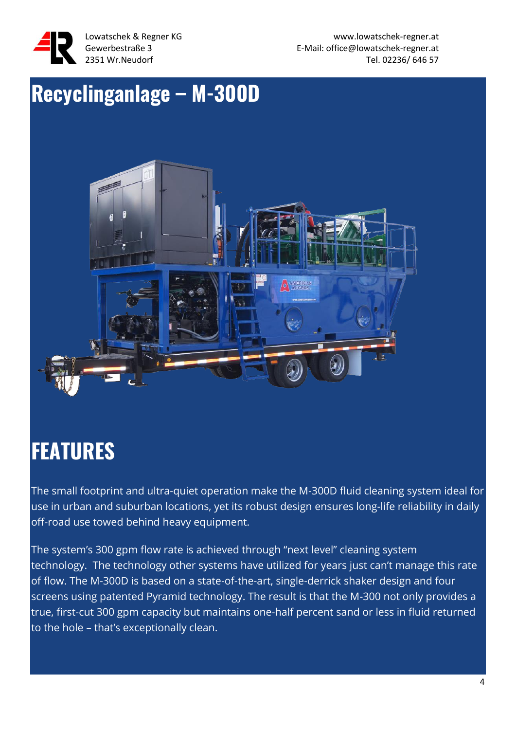

Lowatschek & Regner KG www.lowatschek-regner.at Gewerbestraße 3 E-Mail: office@lowatschek-regner.at 2351 Wr.Neudorf Tel. 02236/ 646 57

#### **Recyclinganlage – M-300D**



### **FEATURES**

The small footprint and ultra-quiet operation make the M-300D fluid cleaning system ideal for use in urban and suburban locations, yet its robust design ensures long-life reliability in daily off-road use towed behind heavy equipment.

The system's 300 gpm flow rate is achieved through "next level" cleaning system technology. The technology other systems have utilized for years just can't manage this rate of flow. The M-300D is based on a state-of-the-art, single-derrick shaker design and four screens using patented Pyramid technology. The result is that the M-300 not only provides a true, first-cut 300 gpm capacity but maintains one-half percent sand or less in fluid returned to the hole – that's exceptionally clean.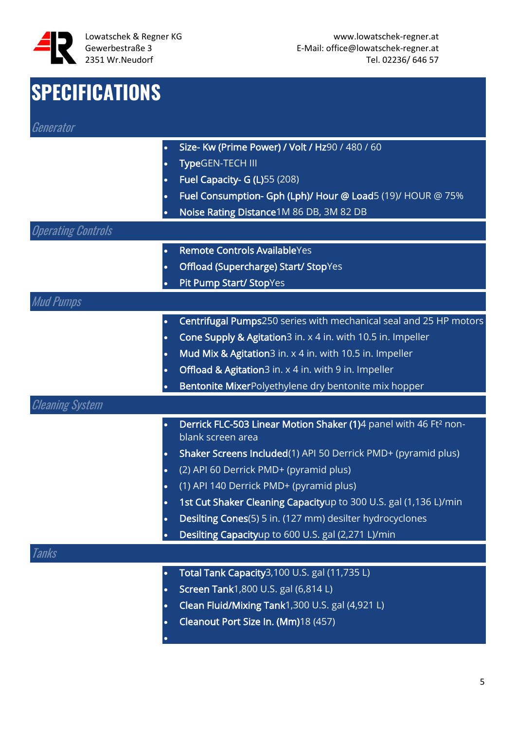

#### **SPECIFICATIONS** Generator • Size- Kw (Prime Power) / Volt / Hz90 / 480 / 60 • TypeGEN-TECH III • Fuel Capacity- G (L)55 (208) • Fuel Consumption- Gph (Lph)/ Hour @ Load5 (19)/ HOUR @ 75% • Noise Rating Distance1M 86 DB, 3M 82 DB Operating Controls • Remote Controls AvailableYes • Offload (Supercharge) Start/ StopYes Pit Pump Start/ StopYes Mud Pumps • Centrifugal Pumps250 series with mechanical seal and 25 HP motors • Cone Supply & Agitation3 in. x 4 in. with 10.5 in. Impeller • Mud Mix & Agitation3 in. x 4 in. with 10.5 in. Impeller Offload & Agitation3 in. x 4 in. with 9 in. Impeller Bentonite MixerPolyethylene dry bentonite mix hopper Cleaning System • Derrick FLC-503 Linear Motion Shaker (1)4 panel with 46 Ft² nonblank screen area • Shaker Screens Included(1) API 50 Derrick PMD+ (pyramid plus) • (2) API 60 Derrick PMD+ (pyramid plus) • (1) API 140 Derrick PMD+ (pyramid plus) 1st Cut Shaker Cleaning Capacityup to 300 U.S. gal (1,136 L)/min • Desilting Cones(5) 5 in. (127 mm) desilter hydrocyclones • Desilting Capacityup to 600 U.S. gal (2,271 L)/min Tanks • Total Tank Capacity3,100 U.S. gal (11,735 L) • Screen Tank1,800 U.S. gal (6,814 L) • Clean Fluid/Mixing Tank1,300 U.S. gal (4,921 L)

• Cleanout Port Size In. (Mm)18 (457)

•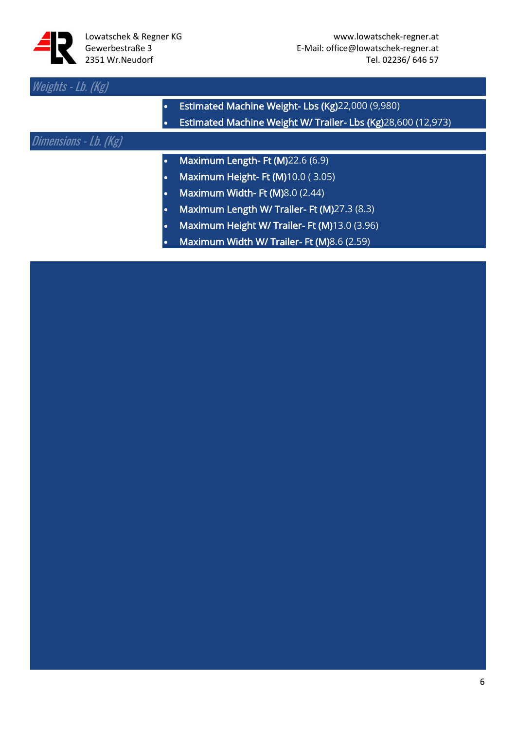

| Weights - Lb. (Kg)    |           |                                                              |
|-----------------------|-----------|--------------------------------------------------------------|
|                       | $\bullet$ | Estimated Machine Weight- Lbs (Kg)22,000 (9,980)             |
|                       |           | Estimated Machine Weight W/ Trailer- Lbs (Kg)28,600 (12,973) |
| Dimensions - Lb. (Kg) |           |                                                              |
|                       | $\bullet$ | Maximum Length- Ft (M)22.6 (6.9)                             |
|                       | ٠         | Maximum Height-Ft (M)10.0 (3.05)                             |
|                       | ٠         | <b>Maximum Width- Ft (M)</b> 8.0 (2.44)                      |
|                       | ٠         | Maximum Length W/ Trailer- Ft (M)27.3 (8.3)                  |
|                       | ٠         | Maximum Height W/Trailer- Ft (M)13.0 (3.96)                  |
|                       |           | Maximum Width W/ Trailer- Ft (M)8.6 (2.59)                   |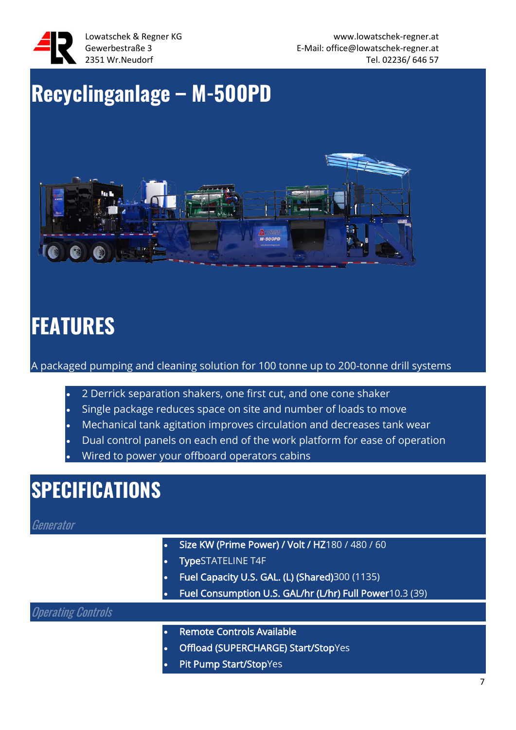

### **Recyclinganlage – M-500PD**



### **FEATURES**

A packaged pumping and cleaning solution for 100 tonne up to 200-tonne drill systems

- 2 Derrick separation shakers, one first cut, and one cone shaker
- Single package reduces space on site and number of loads to move
- Mechanical tank agitation improves circulation and decreases tank wear
- Dual control panels on each end of the work platform for ease of operation
- Wired to power your offboard operators cabins

#### **SPECIFICATIONS**

Generator

- Size KW (Prime Power) / Volt / HZ180 / 480 / 60
- TypeSTATELINE T4F
- Fuel Capacity U.S. GAL. (L) (Shared)300 (1135)
- Fuel Consumption U.S. GAL/hr (L/hr) Full Power10.3 (39)

#### Operating Controls

- Remote Controls Available
- Offload (SUPERCHARGE) Start/StopYes
- Pit Pump Start/StopYes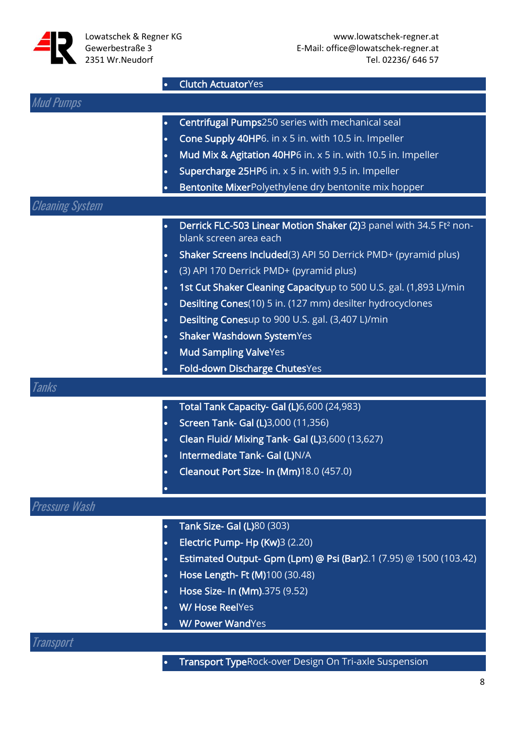

• Clutch ActuatorYes

| <b>Mud Pumps</b>       |                                                                                                          |
|------------------------|----------------------------------------------------------------------------------------------------------|
| $\bullet$              | Centrifugal Pumps250 series with mechanical seal                                                         |
| $\bullet$              | Cone Supply 40HP6. in x 5 in. with 10.5 in. Impeller                                                     |
| $\bullet$              | Mud Mix & Agitation 40HP6 in. x 5 in. with 10.5 in. Impeller                                             |
| $\bullet$              | Supercharge 25HP6 in. x 5 in. with 9.5 in. Impeller                                                      |
| $\bullet$              | Bentonite MixerPolyethylene dry bentonite mix hopper                                                     |
| <b>Cleaning System</b> |                                                                                                          |
| $\bullet$              | Derrick FLC-503 Linear Motion Shaker (2)3 panel with 34.5 Ft <sup>2</sup> non-<br>blank screen area each |
| $\bullet$              | Shaker Screens Included(3) API 50 Derrick PMD+ (pyramid plus)                                            |
| $\bullet$              | (3) API 170 Derrick PMD+ (pyramid plus)                                                                  |
|                        | 1st Cut Shaker Cleaning Capacityup to 500 U.S. gal. (1,893 L)/min                                        |
| ٠                      | Desilting Cones(10) 5 in. (127 mm) desilter hydrocyclones                                                |
| $\bullet$              | Desilting Conesup to 900 U.S. gal. (3,407 L)/min                                                         |
| $\bullet$              | Shaker Washdown SystemYes                                                                                |
| $\bullet$              | <b>Mud Sampling ValveYes</b>                                                                             |
| $\bullet$              | Fold-down Discharge ChutesYes                                                                            |
| Tanks                  |                                                                                                          |
| $\bullet$              | Total Tank Capacity- Gal (L)6,600 (24,983)                                                               |
| $\bullet$              | Screen Tank- Gal (L)3,000 (11,356)                                                                       |
| $\bullet$              | Clean Fluid/ Mixing Tank- Gal (L)3,600 (13,627)                                                          |
| $\bullet$              | Intermediate Tank- Gal (L)N/A                                                                            |
| $\bullet$              | Cleanout Port Size- In (Mm)18.0 (457.0)                                                                  |
| $\bullet$              |                                                                                                          |
| <b>Pressure Wash</b>   |                                                                                                          |
| $\bullet$              | <b>Tank Size- Gal (L)80 (303)</b>                                                                        |
|                        | Electric Pump- Hp (Kw)3 (2.20)                                                                           |
|                        | Estimated Output- Gpm (Lpm) @ Psi (Bar)2.1 (7.95) @ 1500 (103.42)                                        |
| $\bullet$              | Hose Length- Ft (M)100 (30.48)                                                                           |
|                        | Hose Size- In (Mm).375 (9.52)                                                                            |
|                        | <b>W/ Hose ReelYes</b>                                                                                   |
|                        | <b>W/ Power WandYes</b>                                                                                  |
| Transport              |                                                                                                          |

• Transport TypeRock-over Design On Tri-axle Suspension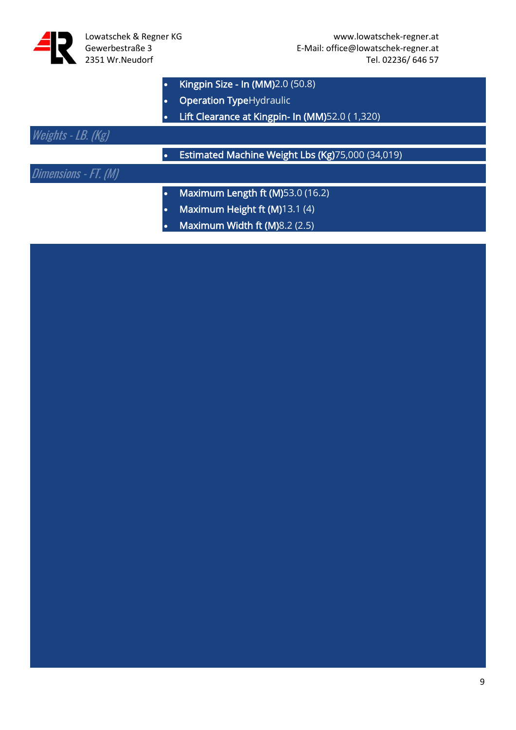|  | Kingpin Size - In (MM)2.0 (50.8) |  |  |  |
|--|----------------------------------|--|--|--|
|--|----------------------------------|--|--|--|

- **Operation TypeHydraulic**
- Lift Clearance at Kingpin- In (MM)52.0 ( 1,320)

#### Weights - LB. (Kg)

- Estimated Machine Weight Lbs (Kg)75,000 (34,019)
- Dimensions FT. (M)
- Maximum Length ft (M)53.0 (16.2)
- Maximum Height ft (M)13.1 (4)
- Maximum Width ft (M)8.2 (2.5)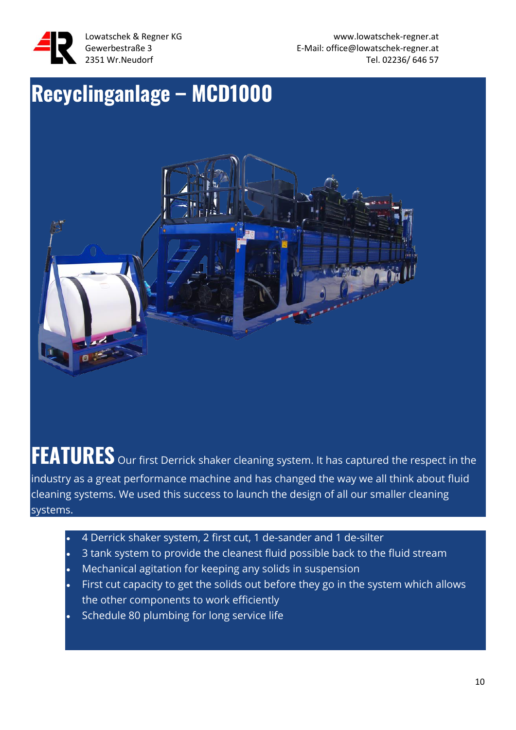

Lowatschek & Regner KG www.lowatschek-regner.at Gewerbestraße 3 E-Mail: office@lowatschek-regner.at 2351 Wr.Neudorf Tel. 02236/ 646 57

### **Recyclinganlage – MCD1000**



**FEATURES** Our first Derrick shaker cleaning system. It has captured the respect in the industry as a great performance machine and has changed the way we all think about fluid cleaning systems. We used this success to launch the design of all our smaller cleaning systems.

- 4 Derrick shaker system, 2 first cut, 1 de-sander and 1 de-silter
- 3 tank system to provide the cleanest fluid possible back to the fluid stream
- Mechanical agitation for keeping any solids in suspension
- First cut capacity to get the solids out before they go in the system which allows the other components to work efficiently
- Schedule 80 plumbing for long service life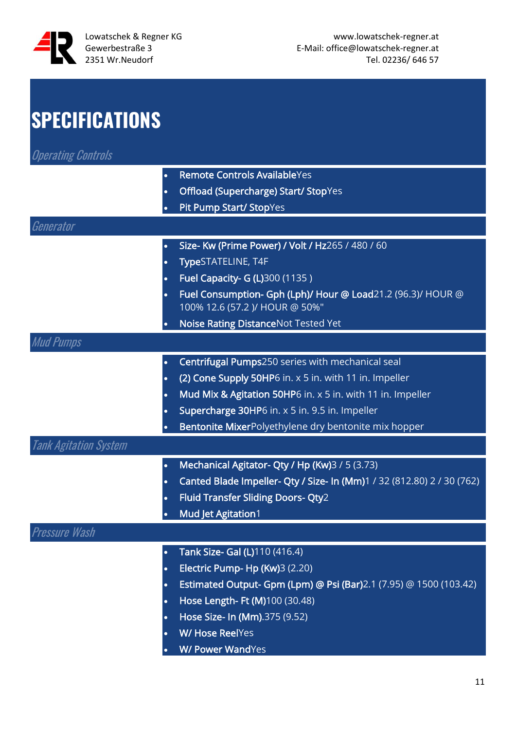

### **SPECIFICATIONS**

Operating Controls

| <b>Remote Controls AvailableYes</b> |  |
|-------------------------------------|--|
|-------------------------------------|--|

- Offload (Supercharge) Start/ StopYes
- Pit Pump Start/ StopYes

| Generator                    |           |                                                                                               |
|------------------------------|-----------|-----------------------------------------------------------------------------------------------|
|                              | $\bullet$ | Size- Kw (Prime Power) / Volt / Hz265 / 480 / 60                                              |
|                              | $\bullet$ | TypeSTATELINE, T4F                                                                            |
|                              | $\bullet$ | Fuel Capacity- G (L)300 (1135)                                                                |
|                              | $\bullet$ | Fuel Consumption- Gph (Lph)/ Hour @ Load21.2 (96.3)/ HOUR @<br>100% 12.6 (57.2 )/ HOUR @ 50%" |
|                              | $\bullet$ | Noise Rating DistanceNot Tested Yet                                                           |
| <b>Mud Pumps</b>             |           |                                                                                               |
|                              | $\bullet$ | Centrifugal Pumps250 series with mechanical seal                                              |
|                              | $\bullet$ | (2) Cone Supply 50HP6 in. x 5 in. with 11 in. Impeller                                        |
|                              | $\bullet$ | Mud Mix & Agitation 50HP6 in. x 5 in. with 11 in. Impeller                                    |
|                              | $\bullet$ | Supercharge 30HP6 in. x 5 in. 9.5 in. Impeller                                                |
|                              |           | Bentonite MixerPolyethylene dry bentonite mix hopper                                          |
| <b>Tank Agitation System</b> |           |                                                                                               |
|                              | $\bullet$ | Mechanical Agitator- Qty / Hp (Kw)3 / 5 (3.73)                                                |
|                              | $\bullet$ | Canted Blade Impeller- Qty / Size- In (Mm)1 / 32 (812.80) 2 / 30 (762)                        |
|                              | $\bullet$ | <b>Fluid Transfer Sliding Doors- Qty2</b>                                                     |
|                              |           | <b>Mud Jet Agitation1</b>                                                                     |
| Pressure Wash                |           |                                                                                               |
|                              | $\bullet$ | Tank Size- Gal (L)110 (416.4)                                                                 |
|                              | $\bullet$ | Electric Pump- Hp (Kw)3 (2.20)                                                                |
|                              | $\bullet$ | Estimated Output- Gpm (Lpm) @ Psi (Bar)2.1 (7.95) @ 1500 (103.42)                             |
|                              | $\bullet$ | Hose Length- Ft (M)100 (30.48)                                                                |
|                              | $\bullet$ | Hose Size- In (Mm).375 (9.52)                                                                 |
|                              | $\bullet$ | <b>W/ Hose ReelYes</b>                                                                        |

• W/ Power WandYes